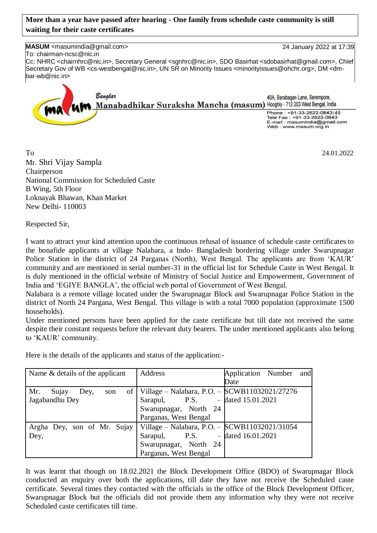## **More than a year have passed after hearing - One family from schedule caste community is still waiting for their caste certificates**

**MASUM** <masumindia@gmail.com> 24 January 2022 at 17:39

To: chairman-ncsc@nic.in Cc: NHRC <chairnhrc@nic.in>, Secretary General <sgnhrc@nic.in>, SDO Basirhat <sdobasirhat@gmail.com>, Chief Secretary Gov of WB <cs-westbengal@nic.in>, UN SR on Minority Issues <minorityissues@ohchr.org>, DM <dmbar-wb@nic.in>



To 24.01.2022 Mr. Shri Vijay Sampla Chairperson National Commission for Scheduled Caste B Wing, 5th Floor Loknayak Bhawan, Khan Market New Delhi- 110003

Respected Sir,

I want to attract your kind attention upon the continuous refusal of issuance of schedule caste certificates to the bonafide applicants at village Nalabara, a Indo- Bangladesh bordering village under Swarupnagar Police Station in the district of 24 Parganas (North), West Bengal. The applicants are from 'KAUR' community and are mentioned in serial number-31 in the official list for Schedule Caste in West Bengal. It is duly mentioned in the official website of Ministry of Social Justice and Empowerment, Government of India and 'EGIYE BANGLA', the official web portal of Government of West Bengal.

Nalabara is a remote village located under the Swarupnagar Block and Swarupnagar Police Station in the district of North 24 Pargana, West Bengal. This village is with a total 7000 population (approximate 1500 households).

Under mentioned persons have been applied for the caste certificate but till date not received the same despite their constant requests before the relevant duty bearers. The under mentioned applicants also belong to 'KAUR' community.

Here is the details of the applicants and status of the application:-

| Name & details of the applicant | Address                                            | Application Number and |
|---------------------------------|----------------------------------------------------|------------------------|
|                                 |                                                    | Date                   |
| Mr.<br>Sujay<br>Dey,<br>son     | of   Village - Nalabara, P.O. - SCWB11032021/27276 |                        |
| Jagabandhu Dey                  | Sarapul, P.S. $-$ dated 15.01.2021                 |                        |
|                                 | Swarupnagar, North 24                              |                        |
|                                 | Parganas, West Bengal                              |                        |
| Argha Dey, son of Mr. Sujay     | Village – Nalabara, P.O. – $SCWB11032021/31054$    |                        |
| Dey,                            | Sarapul, P.S.                                      | $-$ dated 16.01.2021   |
|                                 | Swarupnagar, North 24                              |                        |
|                                 | Parganas, West Bengal                              |                        |

It was learnt that though on 18.02.2021 the Block Development Office (BDO) of Swarupnagar Block conducted an enquiry over both the applications, till date they have not receive the Scheduled caste certificate. Several times they contacted with the officials in the office of the Block Development Officer, Swarupnagar Block but the officials did not provide them any information why they were not receive Scheduled caste certificates till time.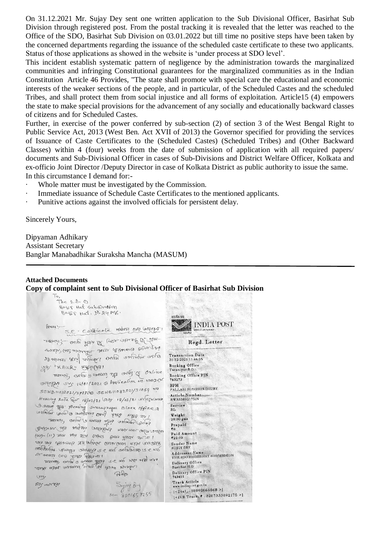On 31.12.2021 Mr. Sujay Dey sent one written application to the Sub Divisional Officer, Basirhat Sub Division through registered post. From the postal tracking it is revealed that the letter was reached to the Office of the SDO, Basirhat Sub Division on 03.01.2022 but till time no positive steps have been taken by the concerned departments regarding the issuance of the scheduled caste certificate to these two applicants. Status of those applications as showed in the website is 'under process at SDO level'.

This incident establish systematic pattern of negligence by the administration towards the marginalized communities and infringing Constitutional guarantees for the marginalized communities as in the Indian Constitution Article 46 Provides, "The state shall promote with special care the educational and economic interests of the weaker sections of the people, and in particular, of the Scheduled Castes and the scheduled Tribes, and shall protect them from social injustice and all forms of exploitation. Article15 (4) empowers the state to make special provisions for the advancement of any socially and educationally backward classes of citizens and for Scheduled Castes.

Further, in exercise of the power conferred by sub-section (2) of section 3 of the West Bengal Right to Public Service Act, 2013 (West Ben. Act XVII of 2013) the Governor specified for providing the services of Issuance of Caste Certificates to the (Scheduled Castes) (Scheduled Tribes) and (Other Backward Classes) within 4 (four) weeks from the date of submission of application with all required papers/ documents and Sub-Divisional Officer in cases of Sub-Divisions and District Welfare Officer, Kolkata and ex-officio Joint Director /Deputy Director in case of Kolkata District as public authority to issue the same. In this circumstance I demand for:-

- Whole matter must be investigated by the Commission.
- · Immediate issuance of Schedule Caste Certificates to the mentioned applicants.
- · Punitive actions against the involved officials for persistent delay.

Sincerely Yours,

Dipyaman Adhikary Assistant Secretary Banglar Manabadhikar Suraksha Mancha (MASUM)

## **Attached Documents Copy of complaint sent to Sub Divisional Officer of Basirhat Sub Division**

| The $5.0 - 0$<br>Bagis Hat Subdividion<br>BogS Had, M.24 PCS<br>lossi. S.C - Contricole messo or compart! | अरतीय उहा<br>HA POST<br>Markety of Constructions                                                                                    |
|-----------------------------------------------------------------------------------------------------------|-------------------------------------------------------------------------------------------------------------------------------------|
| there is a with the other research of film-                                                               | Inthe Road<br>Regd. Letter                                                                                                          |
| request (all stated of server of delacted from 300<br>Societive relief appelle passes version 86          | Transaction Date<br>31-12-2021 11:44:25                                                                                             |
| GS "KAUR" "FAMY"                                                                                          | Booking Office<br>Taranipur B.O.                                                                                                    |
| MARIES and a course also areal of online                                                                  | Booking Office PIN<br>743273                                                                                                        |
| omozzan org. 16/01/2021 & Application No unrach                                                           | <b>BPM</b><br>PALLABI ROYGHOWDHURY                                                                                                  |
| SCNB11082021/272768 SCNB11032021/31054<br>Hearing Acte Peor 18/02/21 (93' 18/02/21 originary              | Article Number<br>RW3338921751N                                                                                                     |
| Commo 2/2. Hearing swerupragar Block office 12                                                            | Service<br>RL.                                                                                                                      |
| 1 28 BER 2012 BAS DURINGLAND DOUGLAND                                                                     | Weight<br>20.00 gms                                                                                                                 |
| eques couper este euna afin couper                                                                        | Prepaid<br>₹0                                                                                                                       |
| white and we have builders and the rest of<br>(11) THERE FIRE GIONS BUT FIRE FIRE (11) - PEES             | Paid Amount<br>₹22.00                                                                                                               |
| Election when have reached the store whenever are even                                                    | Sender Name<br><b>BUJOY DEY</b>                                                                                                     |
| antolones Aranga crosses se are amaters is ears<br>ou settle (100 alla 16th ou 1                          | Addressee Name<br>THE SDO BASHIRHAT SUBDIBISION                                                                                     |
| era ave ave an a capa averes e reino ratura<br>I result a secon toly for the chases there                 | Delivery Office<br>Basirhat H.O                                                                                                     |
| B45<br>YY                                                                                                 | Delivery Office PIN<br>743411                                                                                                       |
| Silf HON JOY<br>Sujay du<br>$M - 8001657255$                                                              | Track Article<br>www.indispost.gov.in<br>$ \langle \text{Dial}_x : 18002666868 \rangle $<br>$ \langle$ iVR Track, #:8267333892175 > |